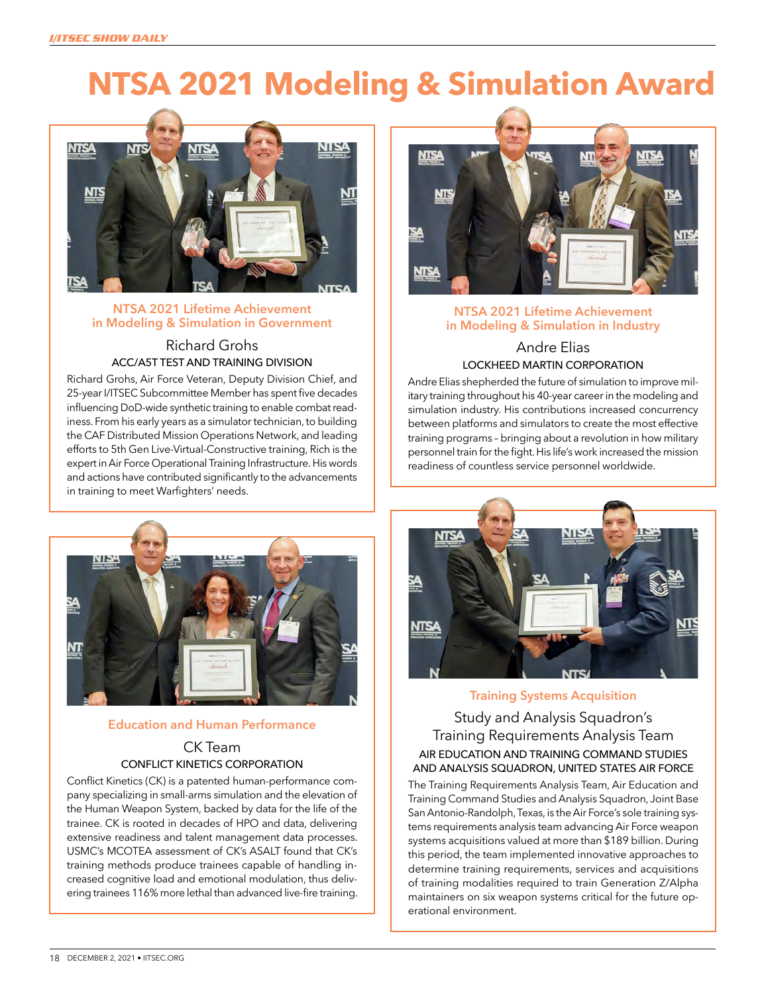# **NTSA 2021 Modeling & Simulation Award**



#### **NTSA 2021 Lifetime Achievement in Modeling & Simulation in Government**

## Richard Grohs ACC/A5T TEST AND TRAINING DIVISION

Richard Grohs, Air Force Veteran, Deputy Division Chief, and 25-year I/ITSEC Subcommittee Member has spent five decades influencing DoD-wide synthetic training to enable combat readiness. From his early years as a simulator technician, to building the CAF Distributed Mission Operations Network, and leading efforts to 5th Gen Live-Virtual-Constructive training, Rich is the expert in Air Force Operational Training Infrastructure. His words and actions have contributed significantly to the advancements in training to meet Warfighters' needs.



## **Education and Human Performance** CK Team CONFLICT KINETICS CORPORATION

Conflict Kinetics (CK) is a patented human-performance company specializing in small-arms simulation and the elevation of the Human Weapon System, backed by data for the life of the trainee. CK is rooted in decades of HPO and data, delivering extensive readiness and talent management data processes. USMC's MCOTEA assessment of CK's ASALT found that CK's training methods produce trainees capable of handling increased cognitive load and emotional modulation, thus delivering trainees 116% more lethal than advanced live-fire training.



## **NTSA 2021 Lifetime Achievement in Modeling & Simulation in Industry**

## Andre Elias LOCKHEED MARTIN CORPORATION

Andre Elias shepherded the future of simulation to improve military training throughout his 40-year career in the modeling and simulation industry. His contributions increased concurrency between platforms and simulators to create the most effective training programs – bringing about a revolution in how military personnel train for the fight. His life's work increased the mission readiness of countless service personnel worldwide.



#### **Training Systems Acquisition**

Study and Analysis Squadron's Training Requirements Analysis Team AIR EDUCATION AND TRAINING COMMAND STUDIES AND ANALYSIS SQUADRON, UNITED STATES AIR FORCE

The Training Requirements Analysis Team, Air Education and Training Command Studies and Analysis Squadron, Joint Base San Antonio-Randolph, Texas, is the Air Force's sole training systems requirements analysis team advancing Air Force weapon systems acquisitions valued at more than \$189 billion. During this period, the team implemented innovative approaches to determine training requirements, services and acquisitions of training modalities required to train Generation Z/Alpha maintainers on six weapon systems critical for the future operational environment.